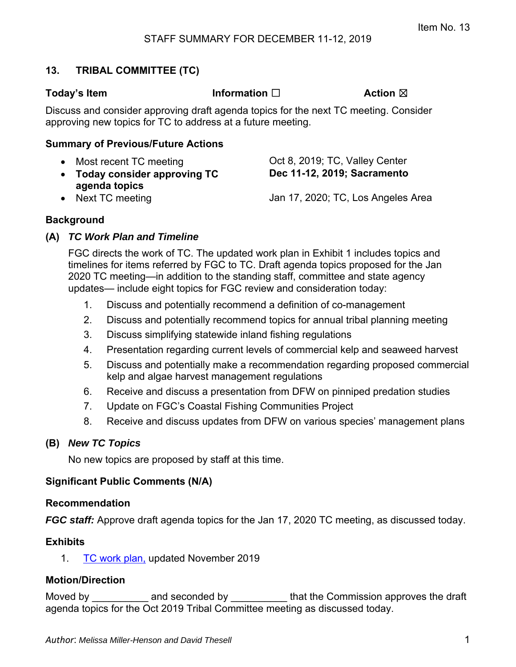# **13. TRIBAL COMMITTEE (TC)**

**Today's Item Information** □ **Action ⊠** 

Discuss and consider approving draft agenda topics for the next TC meeting. Consider approving new topics for TC to address at a future meeting.

## **Summary of Previous/Future Actions**

- Most recent TC meeting CCL 8, 2019; TC, Valley Center **Today consider approving TC agenda topics**
- Next TC meeting **Internal 2018** Jan 17, 2020; TC, Los Angeles Area

**Dec 11-12, 2019; Sacramento** 

**Background** 

# **(A)** *TC Work Plan and Timeline*

FGC directs the work of TC. The updated work plan in Exhibit 1 includes topics and timelines for items referred by FGC to TC. Draft agenda topics proposed for the Jan 2020 TC meeting—in addition to the standing staff, committee and state agency updates— include eight topics for FGC review and consideration today:

- 1. Discuss and potentially recommend a definition of co-management
- 2. Discuss and potentially recommend topics for annual tribal planning meeting
- 3. Discuss simplifying statewide inland fishing regulations
- 4. Presentation regarding current levels of commercial kelp and seaweed harvest
- 5. Discuss and potentially make a recommendation regarding proposed commercial kelp and algae harvest management regulations
- 6. Receive and discuss a presentation from DFW on pinniped predation studies
- 7. Update on FGC's Coastal Fishing Communities Project
- 8. Receive and discuss updates from DFW on various species' management plans

## **(B)** *New TC Topics*

No new topics are proposed by staff at this time.

# **Significant Public Comments (N/A)**

## **Recommendation**

*FGC staff:* Approve draft agenda topics for the Jan 17, 2020 TC meeting, as discussed today.

## **Exhibits**

1. [TC work plan,](#page-1-0) updated November 2019

# **Motion/Direction**

Moved by **EXECO** and seconded by **EXECO** that the Commission approves the draft agenda topics for the Oct 2019 Tribal Committee meeting as discussed today.